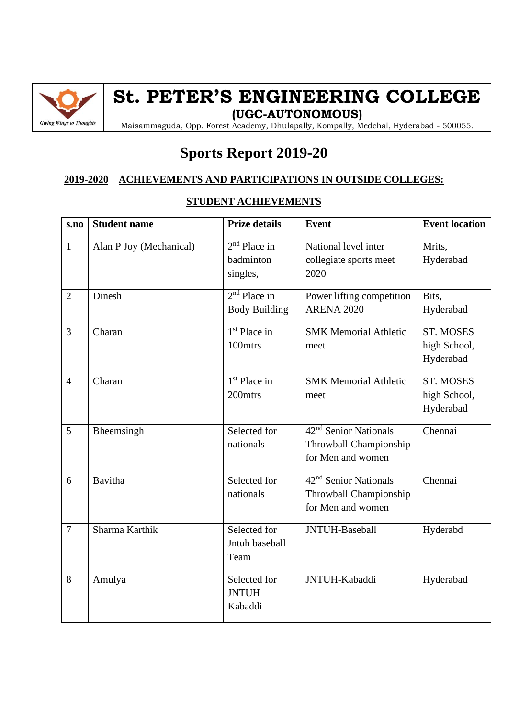

## **St. PETER'S ENGINEERING COLLEGE**

**(UGC-AUTONOMOUS)**

Maisammaguda, Opp. Forest Academy, Dhulapally, Kompally, Medchal, Hyderabad - 500055.

### **Sports Report 2019-20**

### **2019-2020 ACHIEVEMENTS AND PARTICIPATIONS IN OUTSIDE COLLEGES:**

| s.no           | <b>Student name</b>     | <b>Prize details</b>                    | <b>Event</b>                                                                     | <b>Event location</b>                         |
|----------------|-------------------------|-----------------------------------------|----------------------------------------------------------------------------------|-----------------------------------------------|
| $\mathbf{1}$   | Alan P Joy (Mechanical) | $2nd$ Place in<br>badminton<br>singles, | National level inter<br>collegiate sports meet<br>2020                           | Mrits,<br>Hyderabad                           |
| $\overline{2}$ | Dinesh                  | $2nd$ Place in<br><b>Body Building</b>  | Power lifting competition<br><b>ARENA 2020</b>                                   | Bits,<br>Hyderabad                            |
| $\overline{3}$ | Charan                  | $1st$ Place in<br>100mtrs               | <b>SMK Memorial Athletic</b><br>meet                                             | <b>ST. MOSES</b><br>high School,<br>Hyderabad |
| $\overline{4}$ | Charan                  | $1st$ Place in<br>200mtrs               | <b>SMK Memorial Athletic</b><br>meet                                             | <b>ST. MOSES</b><br>high School,<br>Hyderabad |
| 5              | Bheemsingh              | Selected for<br>nationals               | 42 <sup>nd</sup> Senior Nationals<br>Throwball Championship<br>for Men and women | Chennai                                       |
| 6              | <b>Bavitha</b>          | Selected for<br>nationals               | 42 <sup>nd</sup> Senior Nationals<br>Throwball Championship<br>for Men and women | Chennai                                       |
| $\overline{7}$ | Sharma Karthik          | Selected for<br>Jntuh baseball<br>Team  | JNTUH-Baseball                                                                   | Hyderabd                                      |
| 8              | Amulya                  | Selected for<br><b>JNTUH</b><br>Kabaddi | JNTUH-Kabaddi                                                                    | Hyderabad                                     |

#### **STUDENT ACHIEVEMENTS**